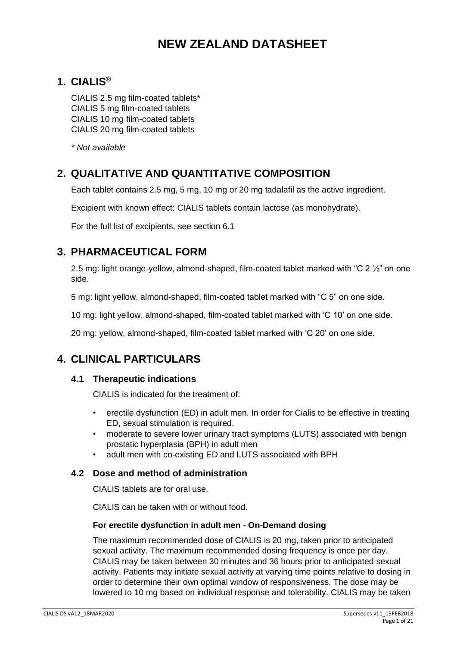# **NEW ZEALAND DATASHEET**

## **1. CIALIS®**

CIALIS 2.5 mg film-coated tablets\* CIALIS 5 mg film-coated tablets CIALIS 10 mg film-coated tablets CIALIS 20 mg film-coated tablets

*\* Not available*

# **2. QUALITATIVE AND QUANTITATIVE COMPOSITION**

Each tablet contains 2.5 mg, 5 mg, 10 mg or 20 mg tadalafil as the active ingredient.

Excipient with known effect: CIALIS tablets contain lactose (as monohydrate).

For the full list of excipients, see section [6.1](#page-19-0)

# **3. PHARMACEUTICAL FORM**

2.5 mg: light orange-yellow, almond-shaped, film-coated tablet marked with "C  $2\frac{1}{2}$ " on one side.

5 mg: light yellow, almond-shaped, film-coated tablet marked with "C 5" on one side.

10 mg: light yellow, almond-shaped, film-coated tablet marked with 'C 10' on one side.

20 mg: yellow, almond-shaped, film-coated tablet marked with 'C 20' on one side.

# **4. CLINICAL PARTICULARS**

## **4.1 Therapeutic indications**

CIALIS is indicated for the treatment of:

- erectile dysfunction (ED) in adult men. In order for Cialis to be effective in treating ED, sexual stimulation is required.
- moderate to severe lower urinary tract symptoms (LUTS) associated with benign prostatic hyperplasia (BPH) in adult men
- adult men with co-existing ED and LUTS associated with BPH

## **4.2 Dose and method of administration**

CIALIS tablets are for oral use.

CIALIS can be taken with or without food.

#### **For erectile dysfunction in adult men - On-Demand dosing**

The maximum recommended dose of CIALIS is 20 mg, taken prior to anticipated sexual activity. The maximum recommended dosing frequency is once per day. CIALIS may be taken between 30 minutes and 36 hours prior to anticipated sexual activity. Patients may initiate sexual activity at varying time points relative to dosing in order to determine their own optimal window of responsiveness. The dose may be lowered to 10 mg based on individual response and tolerability. CIALIS may be taken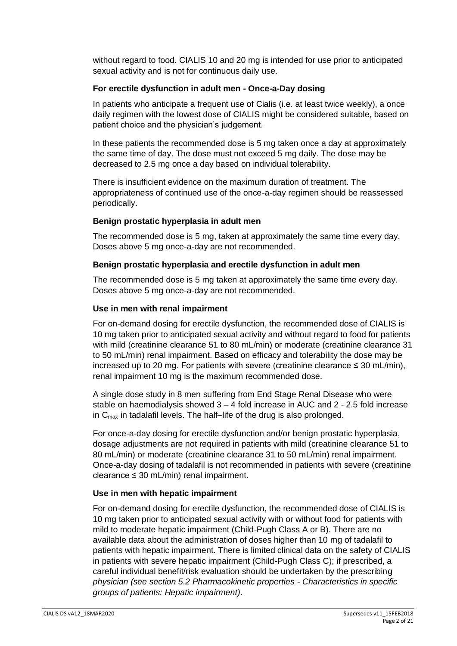without regard to food. CIALIS 10 and 20 mg is intended for use prior to anticipated sexual activity and is not for continuous daily use.

## **For erectile dysfunction in adult men - Once-a-Day dosing**

In patients who anticipate a frequent use of Cialis (i.e. at least twice weekly), a once daily regimen with the lowest dose of CIALIS might be considered suitable, based on patient choice and the physician's judgement.

In these patients the recommended dose is 5 mg taken once a day at approximately the same time of day. The dose must not exceed 5 mg daily. The dose may be decreased to 2.5 mg once a day based on individual tolerability.

There is insufficient evidence on the maximum duration of treatment. The appropriateness of continued use of the once-a-day regimen should be reassessed periodically.

## **Benign prostatic hyperplasia in adult men**

The recommended dose is 5 mg, taken at approximately the same time every day. Doses above 5 mg once-a-day are not recommended.

## **Benign prostatic hyperplasia and erectile dysfunction in adult men**

The recommended dose is 5 mg taken at approximately the same time every day. Doses above 5 mg once-a-day are not recommended.

## **Use in men with renal impairment**

For on-demand dosing for erectile dysfunction, the recommended dose of CIALIS is 10 mg taken prior to anticipated sexual activity and without regard to food for patients with mild (creatinine clearance 51 to 80 mL/min) or moderate (creatinine clearance 31 to 50 mL/min) renal impairment. Based on efficacy and tolerability the dose may be increased up to 20 mg. For patients with severe (creatinine clearance ≤ 30 mL/min), renal impairment 10 mg is the maximum recommended dose.

A single dose study in 8 men suffering from End Stage Renal Disease who were stable on haemodialysis showed 3 – 4 fold increase in AUC and 2 - 2.5 fold increase in C<sub>max</sub> in tadalafil levels. The half–life of the drug is also prolonged.

For once-a-day dosing for erectile dysfunction and/or benign prostatic hyperplasia, dosage adjustments are not required in patients with mild (creatinine clearance 51 to 80 mL/min) or moderate (creatinine clearance 31 to 50 mL/min) renal impairment. Once-a-day dosing of tadalafil is not recommended in patients with severe (creatinine clearance ≤ 30 mL/min) renal impairment.

#### **Use in men with hepatic impairment**

For on-demand dosing for erectile dysfunction, the recommended dose of CIALIS is 10 mg taken prior to anticipated sexual activity with or without food for patients with mild to moderate hepatic impairment (Child-Pugh Class A or B). There are no available data about the administration of doses higher than 10 mg of tadalafil to patients with hepatic impairment. There is limited clinical data on the safety of CIALIS in patients with severe hepatic impairment (Child-Pugh Class C); if prescribed, a careful individual benefit/risk evaluation should be undertaken by the prescribing *physician (see section 5.2 Pharmacokinetic properties - Characteristics in specific groups of patients: Hepatic impairment)*.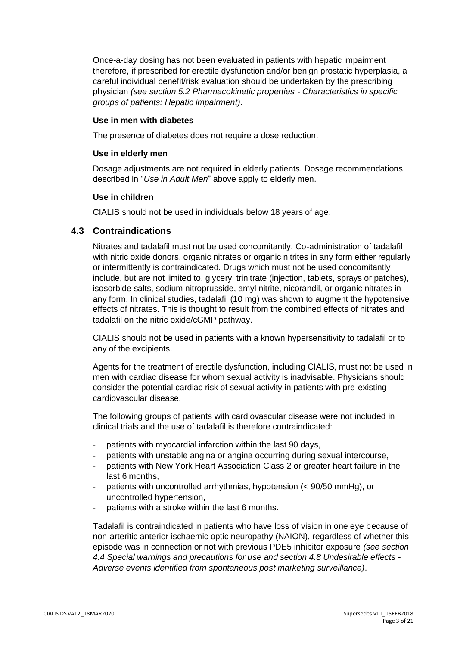Once-a-day dosing has not been evaluated in patients with hepatic impairment therefore, if prescribed for erectile dysfunction and/or benign prostatic hyperplasia, a careful individual benefit/risk evaluation should be undertaken by the prescribing physician *(see section 5.2 Pharmacokinetic properties - Characteristics in specific groups of patients: Hepatic impairment)*.

#### **Use in men with diabetes**

The presence of diabetes does not require a dose reduction.

#### **Use in elderly men**

Dosage adjustments are not required in elderly patients. Dosage recommendations described in "*Use in Adult Men*" above apply to elderly men.

#### **Use in children**

CIALIS should not be used in individuals below 18 years of age.

## **4.3 Contraindications**

Nitrates and tadalafil must not be used concomitantly. Co-administration of tadalafil with nitric oxide donors, organic nitrates or organic nitrites in any form either regularly or intermittently is contraindicated. Drugs which must not be used concomitantly include, but are not limited to, glyceryl trinitrate (injection, tablets, sprays or patches), isosorbide salts, sodium nitroprusside, amyl nitrite, nicorandil, or organic nitrates in any form. In clinical studies, tadalafil (10 mg) was shown to augment the hypotensive effects of nitrates. This is thought to result from the combined effects of nitrates and tadalafil on the nitric oxide/cGMP pathway.

CIALIS should not be used in patients with a known hypersensitivity to tadalafil or to any of the excipients.

Agents for the treatment of erectile dysfunction, including CIALIS, must not be used in men with cardiac disease for whom sexual activity is inadvisable. Physicians should consider the potential cardiac risk of sexual activity in patients with pre-existing cardiovascular disease.

The following groups of patients with cardiovascular disease were not included in clinical trials and the use of tadalafil is therefore contraindicated:

- patients with myocardial infarction within the last 90 days,
- patients with unstable angina or angina occurring during sexual intercourse,
- patients with New York Heart Association Class 2 or greater heart failure in the last 6 months,
- patients with uncontrolled arrhythmias, hypotension (< 90/50 mmHg), or uncontrolled hypertension,
- patients with a stroke within the last 6 months.

Tadalafil is contraindicated in patients who have loss of vision in one eye because of non-arteritic anterior ischaemic optic neuropathy (NAION), regardless of whether this episode was in connection or not with previous PDE5 inhibitor exposure *(see section 4.4 Special warnings and precautions for use and section 4.8 Undesirable effects - Adverse events identified from spontaneous post marketing surveillance)*.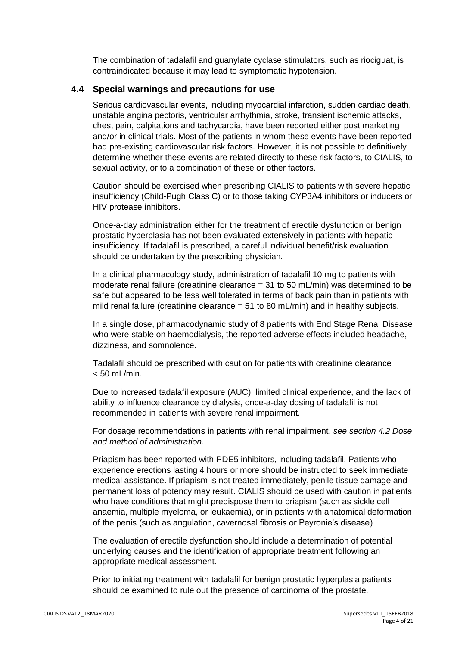The combination of tadalafil and guanylate cyclase stimulators, such as riociguat, is contraindicated because it may lead to symptomatic hypotension.

## **4.4 Special warnings and precautions for use**

Serious cardiovascular events, including myocardial infarction, sudden cardiac death, unstable angina pectoris, ventricular arrhythmia, stroke, transient ischemic attacks, chest pain, palpitations and tachycardia, have been reported either post marketing and/or in clinical trials. Most of the patients in whom these events have been reported had pre-existing cardiovascular risk factors. However, it is not possible to definitively determine whether these events are related directly to these risk factors, to CIALIS, to sexual activity, or to a combination of these or other factors.

Caution should be exercised when prescribing CIALIS to patients with severe hepatic insufficiency (Child-Pugh Class C) or to those taking CYP3A4 inhibitors or inducers or HIV protease inhibitors.

Once-a-day administration either for the treatment of erectile dysfunction or benign prostatic hyperplasia has not been evaluated extensively in patients with hepatic insufficiency. If tadalafil is prescribed, a careful individual benefit/risk evaluation should be undertaken by the prescribing physician.

In a clinical pharmacology study, administration of tadalafil 10 mg to patients with moderate renal failure (creatinine clearance  $=$  31 to 50 mL/min) was determined to be safe but appeared to be less well tolerated in terms of back pain than in patients with mild renal failure (creatinine clearance  $= 51$  to 80 mL/min) and in healthy subjects.

In a single dose, pharmacodynamic study of 8 patients with End Stage Renal Disease who were stable on haemodialysis, the reported adverse effects included headache, dizziness, and somnolence.

Tadalafil should be prescribed with caution for patients with creatinine clearance  $< 50$  mL/min.

Due to increased tadalafil exposure (AUC), limited clinical experience, and the lack of ability to influence clearance by dialysis, once-a-day dosing of tadalafil is not recommended in patients with severe renal impairment.

For dosage recommendations in patients with renal impairment, *see section 4.2 Dose and method of administration.* 

Priapism has been reported with PDE5 inhibitors, including tadalafil. Patients who experience erections lasting 4 hours or more should be instructed to seek immediate medical assistance. If priapism is not treated immediately, penile tissue damage and permanent loss of potency may result. CIALIS should be used with caution in patients who have conditions that might predispose them to priapism (such as sickle cell anaemia, multiple myeloma, or leukaemia), or in patients with anatomical deformation of the penis (such as angulation, cavernosal fibrosis or Peyronie's disease).

The evaluation of erectile dysfunction should include a determination of potential underlying causes and the identification of appropriate treatment following an appropriate medical assessment.

Prior to initiating treatment with tadalafil for benign prostatic hyperplasia patients should be examined to rule out the presence of carcinoma of the prostate.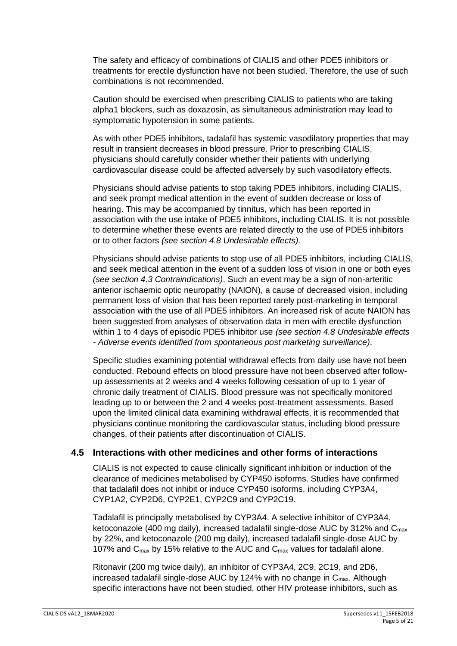The safety and efficacy of combinations of CIALIS and other PDE5 inhibitors or treatments for erectile dysfunction have not been studied. Therefore, the use of such combinations is not recommended.

Caution should be exercised when prescribing CIALIS to patients who are taking alpha1 blockers, such as doxazosin, as simultaneous administration may lead to symptomatic hypotension in some patients.

As with other PDE5 inhibitors, tadalafil has systemic vasodilatory properties that may result in transient decreases in blood pressure. Prior to prescribing CIALIS, physicians should carefully consider whether their patients with underlying cardiovascular disease could be affected adversely by such vasodilatory effects.

Physicians should advise patients to stop taking PDE5 inhibitors, including CIALIS, and seek prompt medical attention in the event of sudden decrease or loss of hearing. This may be accompanied by tinnitus, which has been reported in association with the use intake of PDE5 inhibitors, including CIALIS. It is not possible to determine whether these events are related directly to the use of PDE5 inhibitors or to other factors *(see section 4.8 Undesirable effects)*.

Physicians should advise patients to stop use of all PDE5 inhibitors, including CIALIS, and seek medical attention in the event of a sudden loss of vision in one or both eyes *(see section 4.3 Contraindications)*. Such an event may be a sign of non-arteritic anterior ischaemic optic neuropathy (NAION), a cause of decreased vision, including permanent loss of vision that has been reported rarely post-marketing in temporal association with the use of all PDE5 inhibitors. An increased risk of acute NAION has been suggested from analyses of observation data in men with erectile dysfunction within 1 to 4 days of episodic PDE5 inhibitor use *(see section 4.8 Undesirable effects - Adverse events identified from spontaneous post marketing surveillance)*.

Specific studies examining potential withdrawal effects from daily use have not been conducted. Rebound effects on blood pressure have not been observed after followup assessments at 2 weeks and 4 weeks following cessation of up to 1 year of chronic daily treatment of CIALIS. Blood pressure was not specifically monitored leading up to or between the 2 and 4 weeks post-treatment assessments. Based upon the limited clinical data examining withdrawal effects, it is recommended that physicians continue monitoring the cardiovascular status, including blood pressure changes, of their patients after discontinuation of CIALIS.

## **4.5 Interactions with other medicines and other forms of interactions**

CIALIS is not expected to cause clinically significant inhibition or induction of the clearance of medicines metabolised by CYP450 isoforms. Studies have confirmed that tadalafil does not inhibit or induce CYP450 isoforms, including CYP3A4, CYP1A2, CYP2D6, CYP2E1, CYP2C9 and CYP2C19.

Tadalafil is principally metabolised by CYP3A4. A selective inhibitor of CYP3A4, ketoconazole (400 mg daily), increased tadalafil single-dose AUC by 312% and  $C_{\text{max}}$ by 22%, and ketoconazole (200 mg daily), increased tadalafil single-dose AUC by 107% and  $C_{\text{max}}$  by 15% relative to the AUC and  $C_{\text{max}}$  values for tadalafil alone.

Ritonavir (200 mg twice daily), an inhibitor of CYP3A4, 2C9, 2C19, and 2D6, increased tadalafil single-dose AUC by 124% with no change in  $C_{\text{max}}$ . Although specific interactions have not been studied, other HIV protease inhibitors, such as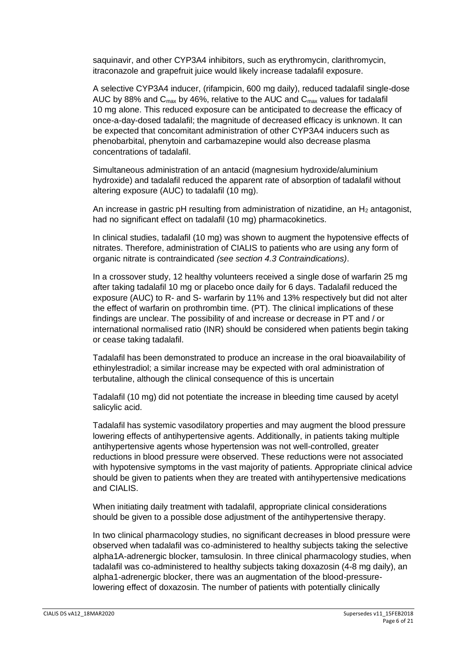saquinavir, and other CYP3A4 inhibitors, such as erythromycin, clarithromycin, itraconazole and grapefruit juice would likely increase tadalafil exposure.

A selective CYP3A4 inducer, (rifampicin, 600 mg daily), reduced tadalafil single-dose AUC by 88% and  $C_{\text{max}}$  by 46%, relative to the AUC and  $C_{\text{max}}$  values for tadalafil 10 mg alone. This reduced exposure can be anticipated to decrease the efficacy of once-a-day-dosed tadalafil; the magnitude of decreased efficacy is unknown. It can be expected that concomitant administration of other CYP3A4 inducers such as phenobarbital, phenytoin and carbamazepine would also decrease plasma concentrations of tadalafil.

Simultaneous administration of an antacid (magnesium hydroxide/aluminium hydroxide) and tadalafil reduced the apparent rate of absorption of tadalafil without altering exposure (AUC) to tadalafil (10 mg).

An increase in gastric pH resulting from administration of nizatidine, an  $H_2$  antagonist, had no significant effect on tadalafil (10 mg) pharmacokinetics.

In clinical studies, tadalafil (10 mg) was shown to augment the hypotensive effects of nitrates. Therefore, administration of CIALIS to patients who are using any form of organic nitrate is contraindicated *(see section 4.3 Contraindications)*.

In a crossover study, 12 healthy volunteers received a single dose of warfarin 25 mg after taking tadalafil 10 mg or placebo once daily for 6 days. Tadalafil reduced the exposure (AUC) to R- and S- warfarin by 11% and 13% respectively but did not alter the effect of warfarin on prothrombin time. (PT). The clinical implications of these findings are unclear. The possibility of and increase or decrease in PT and / or international normalised ratio (INR) should be considered when patients begin taking or cease taking tadalafil.

Tadalafil has been demonstrated to produce an increase in the oral bioavailability of ethinylestradiol; a similar increase may be expected with oral administration of terbutaline, although the clinical consequence of this is uncertain

Tadalafil (10 mg) did not potentiate the increase in bleeding time caused by acetyl salicylic acid.

Tadalafil has systemic vasodilatory properties and may augment the blood pressure lowering effects of antihypertensive agents. Additionally, in patients taking multiple antihypertensive agents whose hypertension was not well-controlled, greater reductions in blood pressure were observed. These reductions were not associated with hypotensive symptoms in the vast majority of patients. Appropriate clinical advice should be given to patients when they are treated with antihypertensive medications and CIALIS.

When initiating daily treatment with tadalafil, appropriate clinical considerations should be given to a possible dose adjustment of the antihypertensive therapy.

In two clinical pharmacology studies, no significant decreases in blood pressure were observed when tadalafil was co-administered to healthy subjects taking the selective alpha1A-adrenergic blocker, tamsulosin. In three clinical pharmacology studies, when tadalafil was co-administered to healthy subjects taking doxazosin (4-8 mg daily), an alpha1-adrenergic blocker, there was an augmentation of the blood-pressurelowering effect of doxazosin. The number of patients with potentially clinically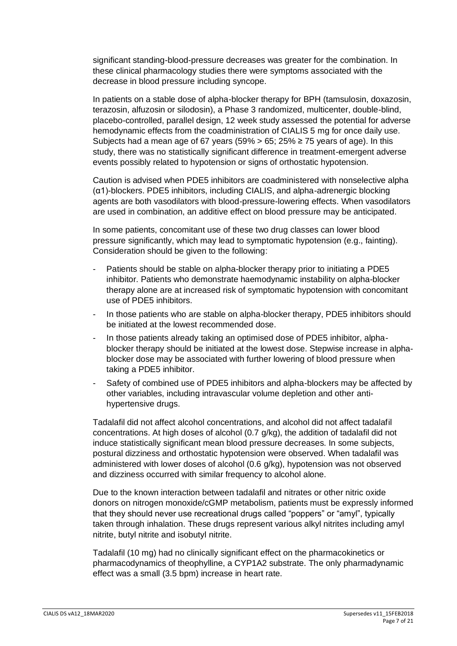significant standing-blood-pressure decreases was greater for the combination. In these clinical pharmacology studies there were symptoms associated with the decrease in blood pressure including syncope.

In patients on a stable dose of alpha-blocker therapy for BPH (tamsulosin, doxazosin, terazosin, alfuzosin or silodosin), a Phase 3 randomized, multicenter, double-blind, placebo-controlled, parallel design, 12 week study assessed the potential for adverse hemodynamic effects from the coadministration of CIALIS 5 mg for once daily use. Subjects had a mean age of 67 years (59%  $> 65$ ; 25%  $\geq 75$  years of age). In this study, there was no statistically significant difference in treatment-emergent adverse events possibly related to hypotension or signs of orthostatic hypotension.

Caution is advised when PDE5 inhibitors are coadministered with nonselective alpha (α1)-blockers. PDE5 inhibitors, including CIALIS, and alpha-adrenergic blocking agents are both vasodilators with blood-pressure-lowering effects. When vasodilators are used in combination, an additive effect on blood pressure may be anticipated.

In some patients, concomitant use of these two drug classes can lower blood pressure significantly, which may lead to symptomatic hypotension (e.g., fainting). Consideration should be given to the following:

- Patients should be stable on alpha-blocker therapy prior to initiating a PDE5 inhibitor. Patients who demonstrate haemodynamic instability on alpha-blocker therapy alone are at increased risk of symptomatic hypotension with concomitant use of PDE5 inhibitors.
- In those patients who are stable on alpha-blocker therapy, PDE5 inhibitors should be initiated at the lowest recommended dose.
- In those patients already taking an optimised dose of PDE5 inhibitor, alphablocker therapy should be initiated at the lowest dose. Stepwise increase in alphablocker dose may be associated with further lowering of blood pressure when taking a PDE5 inhibitor.
- Safety of combined use of PDE5 inhibitors and alpha-blockers may be affected by other variables, including intravascular volume depletion and other antihypertensive drugs.

Tadalafil did not affect alcohol concentrations, and alcohol did not affect tadalafil concentrations. At high doses of alcohol (0.7 g/kg), the addition of tadalafil did not induce statistically significant mean blood pressure decreases. In some subjects, postural dizziness and orthostatic hypotension were observed. When tadalafil was administered with lower doses of alcohol (0.6 g/kg), hypotension was not observed and dizziness occurred with similar frequency to alcohol alone.

Due to the known interaction between tadalafil and nitrates or other nitric oxide donors on nitrogen monoxide/cGMP metabolism, patients must be expressly informed that they should never use recreational drugs called "poppers" or "amyl", typically taken through inhalation. These drugs represent various alkyl nitrites including amyl nitrite, butyl nitrite and isobutyl nitrite.

Tadalafil (10 mg) had no clinically significant effect on the pharmacokinetics or pharmacodynamics of theophylline, a CYP1A2 substrate. The only pharmadynamic effect was a small (3.5 bpm) increase in heart rate.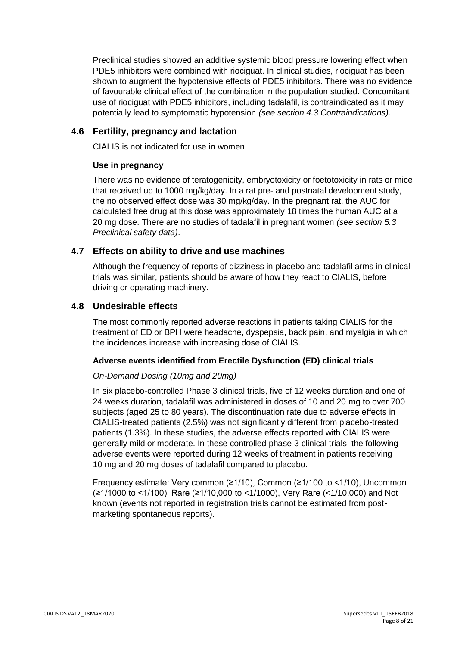Preclinical studies showed an additive systemic blood pressure lowering effect when PDE5 inhibitors were combined with riociguat. In clinical studies, riociguat has been shown to augment the hypotensive effects of PDE5 inhibitors. There was no evidence of favourable clinical effect of the combination in the population studied. Concomitant use of riociguat with PDE5 inhibitors, including tadalafil, is contraindicated as it may potentially lead to symptomatic hypotension *(see section 4.3 Contraindications)*.

## **4.6 Fertility, pregnancy and lactation**

CIALIS is not indicated for use in women.

## **Use in pregnancy**

There was no evidence of teratogenicity, embryotoxicity or foetotoxicity in rats or mice that received up to 1000 mg/kg/day. In a rat pre- and postnatal development study, the no observed effect dose was 30 mg/kg/day. In the pregnant rat, the AUC for calculated free drug at this dose was approximately 18 times the human AUC at a 20 mg dose. There are no studies of tadalafil in pregnant women *(see section 5.3 Preclinical safety data)*.

## **4.7 Effects on ability to drive and use machines**

Although the frequency of reports of dizziness in placebo and tadalafil arms in clinical trials was similar, patients should be aware of how they react to CIALIS, before driving or operating machinery.

## **4.8 Undesirable effects**

The most commonly reported adverse reactions in patients taking CIALIS for the treatment of ED or BPH were headache, dyspepsia, back pain, and myalgia in which the incidences increase with increasing dose of CIALIS.

## **Adverse events identified from Erectile Dysfunction (ED) clinical trials**

## *On-Demand Dosing (10mg and 20mg)*

In six placebo-controlled Phase 3 clinical trials, five of 12 weeks duration and one of 24 weeks duration, tadalafil was administered in doses of 10 and 20 mg to over 700 subjects (aged 25 to 80 years). The discontinuation rate due to adverse effects in CIALIS-treated patients (2.5%) was not significantly different from placebo-treated patients (1.3%). In these studies, the adverse effects reported with CIALIS were generally mild or moderate. In these controlled phase 3 clinical trials, the following adverse events were reported during 12 weeks of treatment in patients receiving 10 mg and 20 mg doses of tadalafil compared to placebo.

Frequency estimate: Very common (≥1/10), Common (≥1/100 to <1/10), Uncommon (≥1/1000 to <1/100), Rare (≥1/10,000 to <1/1000), Very Rare (<1/10,000) and Not known (events not reported in registration trials cannot be estimated from postmarketing spontaneous reports).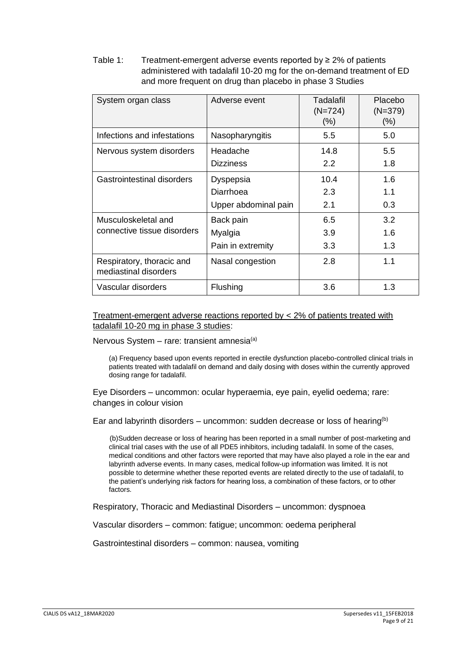Table 1: Treatment-emergent adverse events reported by  $\geq 2\%$  of patients administered with tadalafil 10-20 mg for the on-demand treatment of ED and more frequent on drug than placebo in phase 3 Studies

| System organ class                                 | Adverse event                                  | Tadalafil<br>$(N=724)$<br>$(\% )$ | Placebo<br>$(N=379)$<br>(%) |
|----------------------------------------------------|------------------------------------------------|-----------------------------------|-----------------------------|
| Infections and infestations                        | Nasopharyngitis                                | $5.5^{\circ}$                     | 5.0                         |
| Nervous system disorders                           | Headache<br><b>Dizziness</b>                   | 14.8<br>2.2                       | $5.5^{\circ}$<br>1.8        |
| Gastrointestinal disorders                         | Dyspepsia<br>Diarrhoea<br>Upper abdominal pain | 10.4<br>2.3<br>2.1                | 1.6<br>1.1<br>0.3           |
| Musculoskeletal and<br>connective tissue disorders | Back pain<br>Myalgia<br>Pain in extremity      | 6.5<br>3.9<br>3.3                 | 3.2<br>1.6<br>1.3           |
| Respiratory, thoracic and<br>mediastinal disorders | Nasal congestion                               | 2.8                               | 1.1                         |
| Vascular disorders                                 | Flushing                                       | 3.6                               | 1.3                         |

Treatment-emergent adverse reactions reported by < 2% of patients treated with tadalafil 10-20 mg in phase 3 studies:

Nervous System – rare: transient amnesia $(a)$ 

(a) Frequency based upon events reported in erectile dysfunction placebo-controlled clinical trials in patients treated with tadalafil on demand and daily dosing with doses within the currently approved dosing range for tadalafil.

Eye Disorders – uncommon: ocular hyperaemia, eye pain, eyelid oedema; rare: changes in colour vision

Ear and labyrinth disorders – uncommon: sudden decrease or loss of hearing<sup>(b)</sup>

(b)Sudden decrease or loss of hearing has been reported in a small number of post-marketing and clinical trial cases with the use of all PDE5 inhibitors, including tadalafil. In some of the cases, medical conditions and other factors were reported that may have also played a role in the ear and labyrinth adverse events. In many cases, medical follow-up information was limited. It is not possible to determine whether these reported events are related directly to the use of tadalafil, to the patient's underlying risk factors for hearing loss, a combination of these factors, or to other factors.

Respiratory, Thoracic and Mediastinal Disorders – uncommon: dyspnoea

Vascular disorders – common: fatigue; uncommon: oedema peripheral

Gastrointestinal disorders – common: nausea, vomiting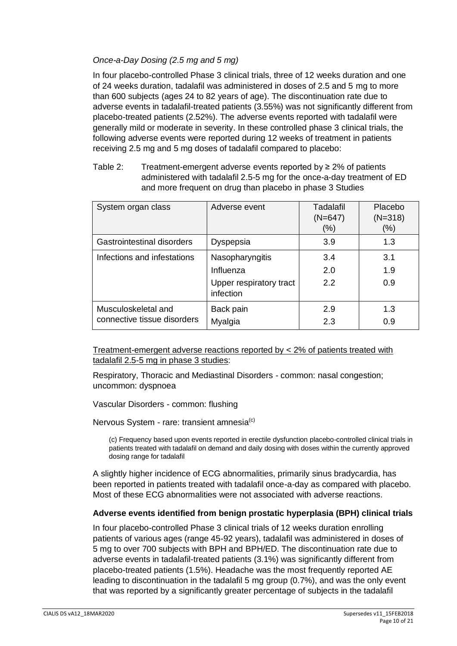## *Once-a-Day Dosing (2.5 mg and 5 mg)*

In four placebo-controlled Phase 3 clinical trials, three of 12 weeks duration and one of 24 weeks duration, tadalafil was administered in doses of 2.5 and 5 mg to more than 600 subjects (ages 24 to 82 years of age). The discontinuation rate due to adverse events in tadalafil-treated patients (3.55%) was not significantly different from placebo-treated patients (2.52%). The adverse events reported with tadalafil were generally mild or moderate in severity. In these controlled phase 3 clinical trials, the following adverse events were reported during 12 weeks of treatment in patients receiving 2.5 mg and 5 mg doses of tadalafil compared to placebo:

Table 2: Treatment-emergent adverse events reported by  $\geq 2\%$  of patients administered with tadalafil 2.5-5 mg for the once-a-day treatment of ED and more frequent on drug than placebo in phase 3 Studies

| System organ class                                 | Adverse event                                                        | Tadalafil<br>$(N=647)$<br>$(\% )$ | Placebo<br>$(N=318)$<br>$(\% )$ |
|----------------------------------------------------|----------------------------------------------------------------------|-----------------------------------|---------------------------------|
| Gastrointestinal disorders                         | Dyspepsia                                                            | 3.9                               | 1.3                             |
| Infections and infestations                        | Nasopharyngitis<br>Influenza<br>Upper respiratory tract<br>infection | 3.4<br>2.0<br>2.2                 | 3.1<br>1.9<br>0.9               |
| Musculoskeletal and<br>connective tissue disorders | Back pain<br>Myalgia                                                 | 2.9<br>2.3                        | 1.3<br>0.9                      |

Treatment-emergent adverse reactions reported by < 2% of patients treated with tadalafil 2.5-5 mg in phase 3 studies:

Respiratory, Thoracic and Mediastinal Disorders - common: nasal congestion; uncommon: dyspnoea

Vascular Disorders - common: flushing

Nervous System - rare: transient amnesia<sup>(c)</sup>

(c) Frequency based upon events reported in erectile dysfunction placebo-controlled clinical trials in patients treated with tadalafil on demand and daily dosing with doses within the currently approved dosing range for tadalafil

A slightly higher incidence of ECG abnormalities, primarily sinus bradycardia, has been reported in patients treated with tadalafil once-a-day as compared with placebo. Most of these ECG abnormalities were not associated with adverse reactions.

## **Adverse events identified from benign prostatic hyperplasia (BPH) clinical trials**

In four placebo-controlled Phase 3 clinical trials of 12 weeks duration enrolling patients of various ages (range 45-92 years), tadalafil was administered in doses of 5 mg to over 700 subjects with BPH and BPH/ED. The discontinuation rate due to adverse events in tadalafil-treated patients (3.1%) was significantly different from placebo-treated patients (1.5%). Headache was the most frequently reported AE leading to discontinuation in the tadalafil 5 mg group (0.7%), and was the only event that was reported by a significantly greater percentage of subjects in the tadalafil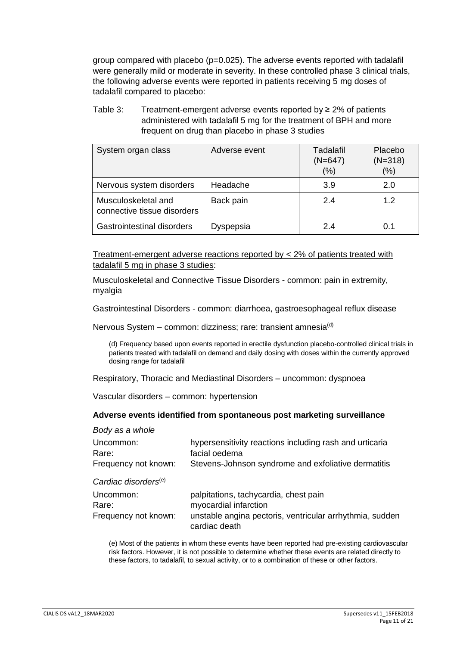group compared with placebo (p=0.025). The adverse events reported with tadalafil were generally mild or moderate in severity. In these controlled phase 3 clinical trials, the following adverse events were reported in patients receiving 5 mg doses of tadalafil compared to placebo:

Table 3: Treatment-emergent adverse events reported by  $\geq 2\%$  of patients administered with tadalafil 5 mg for the treatment of BPH and more frequent on drug than placebo in phase 3 studies

| System organ class                                 | Adverse event | Tadalafil<br>$(N=647)$<br>(%) | Placebo<br>$(N=318)$<br>$(\%)$ |
|----------------------------------------------------|---------------|-------------------------------|--------------------------------|
| Nervous system disorders                           | Headache      | 3.9                           | 2.0                            |
| Musculoskeletal and<br>connective tissue disorders | Back pain     | 2.4                           | 1.2                            |
| Gastrointestinal disorders                         | Dyspepsia     | 2.4                           | 0.1                            |

Treatment-emergent adverse reactions reported by < 2% of patients treated with tadalafil 5 mg in phase 3 studies:

Musculoskeletal and Connective Tissue Disorders - common: pain in extremity, myalgia

Gastrointestinal Disorders - common: diarrhoea, gastroesophageal reflux disease

Nervous System - common: dizziness; rare: transient amnesia<sup>(d)</sup>

(d) Frequency based upon events reported in erectile dysfunction placebo-controlled clinical trials in patients treated with tadalafil on demand and daily dosing with doses within the currently approved dosing range for tadalafil

Respiratory, Thoracic and Mediastinal Disorders – uncommon: dyspnoea

Vascular disorders – common: hypertension

#### **Adverse events identified from spontaneous post marketing surveillance**

#### *Body as a whole*

| Uncommon:                        | hypersensitivity reactions including rash and urticaria                   |
|----------------------------------|---------------------------------------------------------------------------|
| Rare:                            | facial oedema                                                             |
| Frequency not known:             | Stevens-Johnson syndrome and exfoliative dermatitis                       |
| Cardiac disorders <sup>(e)</sup> |                                                                           |
| Uncommon:                        | palpitations, tachycardia, chest pain                                     |
| Rare:                            | myocardial infarction                                                     |
| Frequency not known:             | unstable angina pectoris, ventricular arrhythmia, sudden<br>cardiac death |

(e) Most of the patients in whom these events have been reported had pre-existing cardiovascular risk factors. However, it is not possible to determine whether these events are related directly to these factors, to tadalafil, to sexual activity, or to a combination of these or other factors.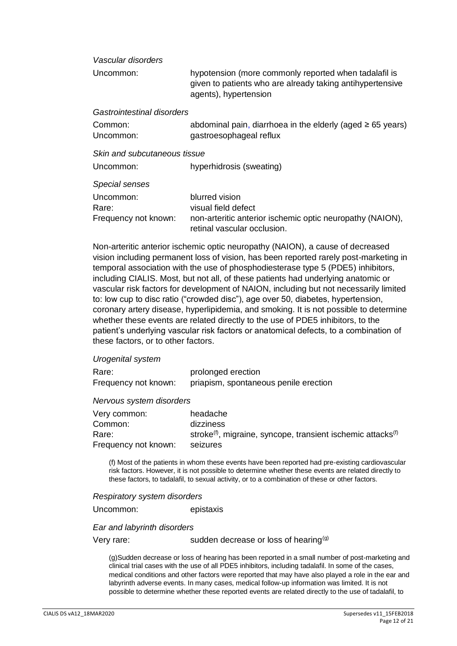*Vascular disorders*

| Uncommon: | hypotension (more commonly reported when tadalafil is     |
|-----------|-----------------------------------------------------------|
|           | given to patients who are already taking antihypertensive |
|           | agents), hypertension                                     |

*Gastrointestinal disorders*

| Common:   | abdominal pain, diarrhoea in the elderly (aged $\geq 65$ years) |
|-----------|-----------------------------------------------------------------|
| Uncommon: | gastroesophageal reflux                                         |

*Skin and subcutaneous tissue*

| Uncommon: | hyperhidrosis (sweating) |  |
|-----------|--------------------------|--|
|-----------|--------------------------|--|

*Special senses*

| Uncommon:            | blurred vision                                                                           |
|----------------------|------------------------------------------------------------------------------------------|
| Rare:                | visual field defect                                                                      |
| Frequency not known: | non-arteritic anterior ischemic optic neuropathy (NAION),<br>retinal vascular occlusion. |

Non-arteritic anterior ischemic optic neuropathy (NAION), a cause of decreased vision including permanent loss of vision, has been reported rarely post-marketing in temporal association with the use of phosphodiesterase type 5 (PDE5) inhibitors, including CIALIS. Most, but not all, of these patients had underlying anatomic or vascular risk factors for development of NAION, including but not necessarily limited to: low cup to disc ratio ("crowded disc"), age over 50, diabetes, hypertension, coronary artery disease, hyperlipidemia, and smoking. It is not possible to determine whether these events are related directly to the use of PDE5 inhibitors, to the patient's underlying vascular risk factors or anatomical defects, to a combination of these factors, or to other factors.

#### *Urogenital system*

| Rare:                | prolonged erection                    |  |  |
|----------------------|---------------------------------------|--|--|
| Frequency not known: | priapism, spontaneous penile erection |  |  |

*Nervous system disorders*

| Very common:         | headache                                                           |
|----------------------|--------------------------------------------------------------------|
| Common:              | dizziness                                                          |
| Rare:                | stroke $(f)$ , migraine, syncope, transient ischemic attacks $(f)$ |
| Frequency not known: | seizures                                                           |

(f) Most of the patients in whom these events have been reported had pre-existing cardiovascular risk factors. However, it is not possible to determine whether these events are related directly to these factors, to tadalafil, to sexual activity, or to a combination of these or other factors.

#### *Respiratory system disorders*

Uncommon: epistaxis

#### *Ear and labyrinth disorders*

Very rare:  $V$ ery rare: sudden decrease or loss of hearing<sup>(g)</sup>

(g)Sudden decrease or loss of hearing has been reported in a small number of post-marketing and clinical trial cases with the use of all PDE5 inhibitors, including tadalafil. In some of the cases, medical conditions and other factors were reported that may have also played a role in the ear and labyrinth adverse events. In many cases, medical follow-up information was limited. It is not possible to determine whether these reported events are related directly to the use of tadalafil, to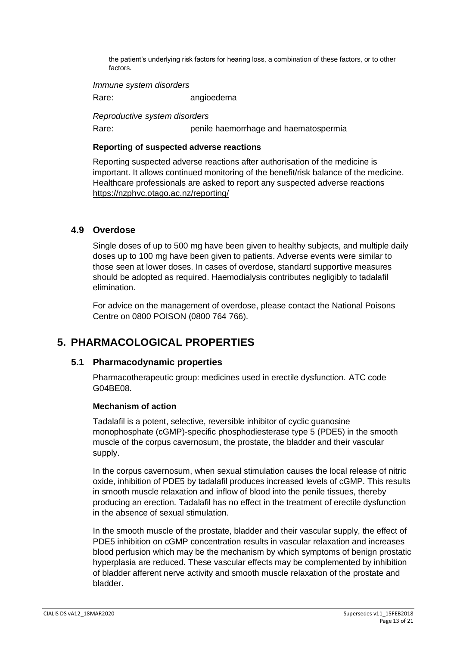the patient's underlying risk factors for hearing loss, a combination of these factors, or to other factors

*Immune system disorders*

Rare: angioedema

*Reproductive system disorders*

Rare: penile haemorrhage and haematospermia

#### **Reporting of suspected adverse reactions**

Reporting suspected adverse reactions after authorisation of the medicine is important. It allows continued monitoring of the benefit/risk balance of the medicine. Healthcare professionals are asked to report any suspected adverse reactions <https://nzphvc.otago.ac.nz/reporting/>

## **4.9 Overdose**

Single doses of up to 500 mg have been given to healthy subjects, and multiple daily doses up to 100 mg have been given to patients. Adverse events were similar to those seen at lower doses. In cases of overdose, standard supportive measures should be adopted as required. Haemodialysis contributes negligibly to tadalafil elimination.

For advice on the management of overdose, please contact the National Poisons Centre on 0800 POISON (0800 764 766).

## **5. PHARMACOLOGICAL PROPERTIES**

## **5.1 Pharmacodynamic properties**

Pharmacotherapeutic group: medicines used in erectile dysfunction. ATC code G04BE08.

#### **Mechanism of action**

Tadalafil is a potent, selective, reversible inhibitor of cyclic guanosine monophosphate (cGMP)-specific phosphodiesterase type 5 (PDE5) in the smooth muscle of the corpus cavernosum, the prostate, the bladder and their vascular supply.

In the corpus cavernosum, when sexual stimulation causes the local release of nitric oxide, inhibition of PDE5 by tadalafil produces increased levels of cGMP. This results in smooth muscle relaxation and inflow of blood into the penile tissues, thereby producing an erection. Tadalafil has no effect in the treatment of erectile dysfunction in the absence of sexual stimulation.

In the smooth muscle of the prostate, bladder and their vascular supply, the effect of PDE5 inhibition on cGMP concentration results in vascular relaxation and increases blood perfusion which may be the mechanism by which symptoms of benign prostatic hyperplasia are reduced. These vascular effects may be complemented by inhibition of bladder afferent nerve activity and smooth muscle relaxation of the prostate and bladder.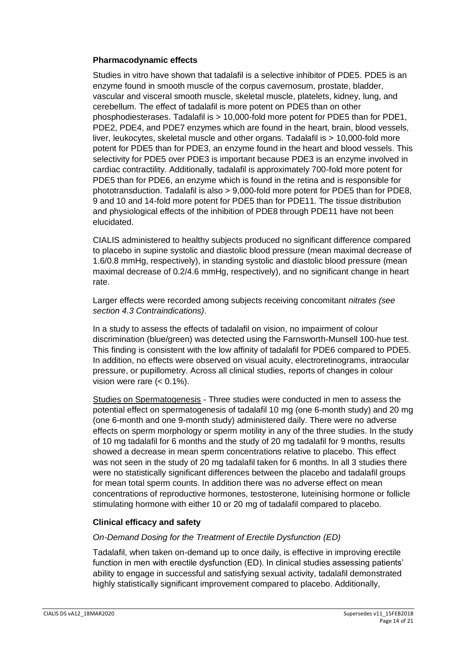#### **Pharmacodynamic effects**

Studies in vitro have shown that tadalafil is a selective inhibitor of PDE5. PDE5 is an enzyme found in smooth muscle of the corpus cavernosum, prostate, bladder, vascular and visceral smooth muscle, skeletal muscle, platelets, kidney, lung, and cerebellum. The effect of tadalafil is more potent on PDE5 than on other phosphodiesterases. Tadalafil is > 10,000-fold more potent for PDE5 than for PDE1, PDE2, PDE4, and PDE7 enzymes which are found in the heart, brain, blood vessels, liver, leukocytes, skeletal muscle and other organs. Tadalafil is > 10,000-fold more potent for PDE5 than for PDE3, an enzyme found in the heart and blood vessels. This selectivity for PDE5 over PDE3 is important because PDE3 is an enzyme involved in cardiac contractility. Additionally, tadalafil is approximately 700-fold more potent for PDE5 than for PDE6, an enzyme which is found in the retina and is responsible for phototransduction. Tadalafil is also > 9,000-fold more potent for PDE5 than for PDE8, 9 and 10 and 14-fold more potent for PDE5 than for PDE11. The tissue distribution and physiological effects of the inhibition of PDE8 through PDE11 have not been elucidated.

CIALIS administered to healthy subjects produced no significant difference compared to placebo in supine systolic and diastolic blood pressure (mean maximal decrease of 1.6/0.8 mmHg, respectively), in standing systolic and diastolic blood pressure (mean maximal decrease of 0.2/4.6 mmHg, respectively), and no significant change in heart rate.

Larger effects were recorded among subjects receiving concomitant *nitrates (see section 4.3 Contraindications)*.

In a study to assess the effects of tadalafil on vision, no impairment of colour discrimination (blue/green) was detected using the Farnsworth-Munsell 100-hue test. This finding is consistent with the low affinity of tadalafil for PDE6 compared to PDE5. In addition, no effects were observed on visual acuity, electroretinograms, intraocular pressure, or pupillometry. Across all clinical studies, reports of changes in colour vision were rare  $( $0.1\%$ ).$ 

Studies on Spermatogenesis - Three studies were conducted in men to assess the potential effect on spermatogenesis of tadalafil 10 mg (one 6-month study) and 20 mg (one 6-month and one 9-month study) administered daily. There were no adverse effects on sperm morphology or sperm motility in any of the three studies. In the study of 10 mg tadalafil for 6 months and the study of 20 mg tadalafil for 9 months, results showed a decrease in mean sperm concentrations relative to placebo. This effect was not seen in the study of 20 mg tadalafil taken for 6 months. In all 3 studies there were no statistically significant differences between the placebo and tadalafil groups for mean total sperm counts. In addition there was no adverse effect on mean concentrations of reproductive hormones, testosterone, luteinising hormone or follicle stimulating hormone with either 10 or 20 mg of tadalafil compared to placebo.

#### **Clinical efficacy and safety**

#### *On-Demand Dosing for the Treatment of Erectile Dysfunction (ED)*

Tadalafil, when taken on-demand up to once daily, is effective in improving erectile function in men with erectile dysfunction (ED). In clinical studies assessing patients' ability to engage in successful and satisfying sexual activity, tadalafil demonstrated highly statistically significant improvement compared to placebo. Additionally,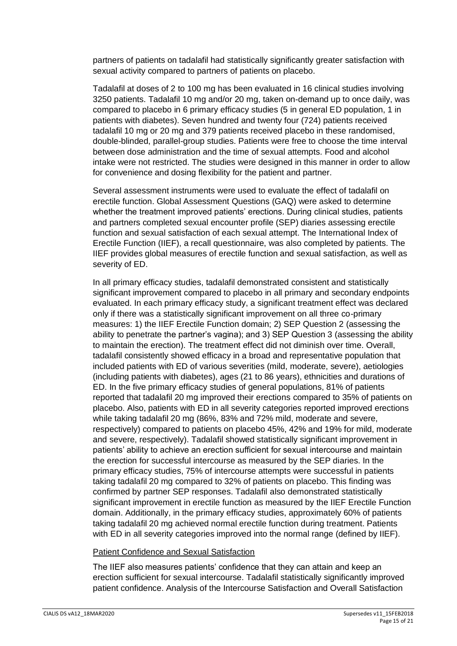partners of patients on tadalafil had statistically significantly greater satisfaction with sexual activity compared to partners of patients on placebo.

Tadalafil at doses of 2 to 100 mg has been evaluated in 16 clinical studies involving 3250 patients. Tadalafil 10 mg and/or 20 mg, taken on-demand up to once daily, was compared to placebo in 6 primary efficacy studies (5 in general ED population, 1 in patients with diabetes). Seven hundred and twenty four (724) patients received tadalafil 10 mg or 20 mg and 379 patients received placebo in these randomised, double-blinded, parallel-group studies. Patients were free to choose the time interval between dose administration and the time of sexual attempts. Food and alcohol intake were not restricted. The studies were designed in this manner in order to allow for convenience and dosing flexibility for the patient and partner.

Several assessment instruments were used to evaluate the effect of tadalafil on erectile function. Global Assessment Questions (GAQ) were asked to determine whether the treatment improved patients' erections. During clinical studies, patients and partners completed sexual encounter profile (SEP) diaries assessing erectile function and sexual satisfaction of each sexual attempt. The International Index of Erectile Function (IIEF), a recall questionnaire, was also completed by patients. The IIEF provides global measures of erectile function and sexual satisfaction, as well as severity of ED.

In all primary efficacy studies, tadalafil demonstrated consistent and statistically significant improvement compared to placebo in all primary and secondary endpoints evaluated. In each primary efficacy study, a significant treatment effect was declared only if there was a statistically significant improvement on all three co-primary measures: 1) the IIEF Erectile Function domain; 2) SEP Question 2 (assessing the ability to penetrate the partner's vagina); and 3) SEP Question 3 (assessing the ability to maintain the erection). The treatment effect did not diminish over time. Overall, tadalafil consistently showed efficacy in a broad and representative population that included patients with ED of various severities (mild, moderate, severe), aetiologies (including patients with diabetes), ages (21 to 86 years), ethnicities and durations of ED. In the five primary efficacy studies of general populations, 81% of patients reported that tadalafil 20 mg improved their erections compared to 35% of patients on placebo. Also, patients with ED in all severity categories reported improved erections while taking tadalafil 20 mg (86%, 83% and 72% mild, moderate and severe, respectively) compared to patients on placebo 45%, 42% and 19% for mild, moderate and severe, respectively). Tadalafil showed statistically significant improvement in patients' ability to achieve an erection sufficient for sexual intercourse and maintain the erection for successful intercourse as measured by the SEP diaries. In the primary efficacy studies, 75% of intercourse attempts were successful in patients taking tadalafil 20 mg compared to 32% of patients on placebo. This finding was confirmed by partner SEP responses. Tadalafil also demonstrated statistically significant improvement in erectile function as measured by the IIEF Erectile Function domain. Additionally, in the primary efficacy studies, approximately 60% of patients taking tadalafil 20 mg achieved normal erectile function during treatment. Patients with ED in all severity categories improved into the normal range (defined by IIEF).

#### Patient Confidence and Sexual Satisfaction

The IIEF also measures patients' confidence that they can attain and keep an erection sufficient for sexual intercourse. Tadalafil statistically significantly improved patient confidence. Analysis of the Intercourse Satisfaction and Overall Satisfaction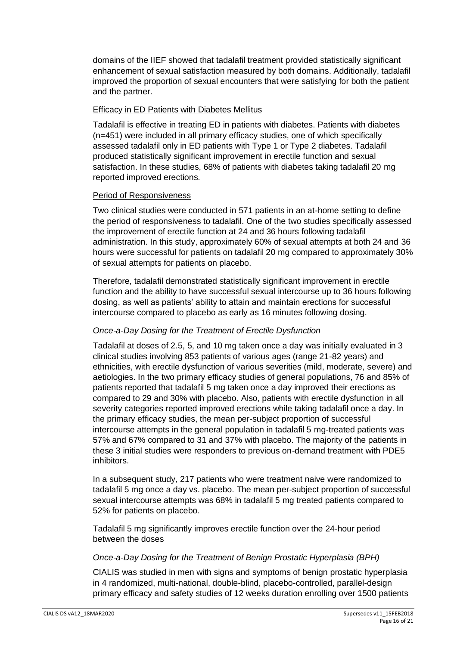domains of the IIEF showed that tadalafil treatment provided statistically significant enhancement of sexual satisfaction measured by both domains. Additionally, tadalafil improved the proportion of sexual encounters that were satisfying for both the patient and the partner.

## Efficacy in ED Patients with Diabetes Mellitus

Tadalafil is effective in treating ED in patients with diabetes. Patients with diabetes (n=451) were included in all primary efficacy studies, one of which specifically assessed tadalafil only in ED patients with Type 1 or Type 2 diabetes. Tadalafil produced statistically significant improvement in erectile function and sexual satisfaction. In these studies, 68% of patients with diabetes taking tadalafil 20 mg reported improved erections.

## Period of Responsiveness

Two clinical studies were conducted in 571 patients in an at-home setting to define the period of responsiveness to tadalafil. One of the two studies specifically assessed the improvement of erectile function at 24 and 36 hours following tadalafil administration. In this study, approximately 60% of sexual attempts at both 24 and 36 hours were successful for patients on tadalafil 20 mg compared to approximately 30% of sexual attempts for patients on placebo.

Therefore, tadalafil demonstrated statistically significant improvement in erectile function and the ability to have successful sexual intercourse up to 36 hours following dosing, as well as patients' ability to attain and maintain erections for successful intercourse compared to placebo as early as 16 minutes following dosing.

## *Once-a-Day Dosing for the Treatment of Erectile Dysfunction*

Tadalafil at doses of 2.5, 5, and 10 mg taken once a day was initially evaluated in 3 clinical studies involving 853 patients of various ages (range 21-82 years) and ethnicities, with erectile dysfunction of various severities (mild, moderate, severe) and aetiologies. In the two primary efficacy studies of general populations, 76 and 85% of patients reported that tadalafil 5 mg taken once a day improved their erections as compared to 29 and 30% with placebo. Also, patients with erectile dysfunction in all severity categories reported improved erections while taking tadalafil once a day. In the primary efficacy studies, the mean per-subject proportion of successful intercourse attempts in the general population in tadalafil 5 mg-treated patients was 57% and 67% compared to 31 and 37% with placebo. The majority of the patients in these 3 initial studies were responders to previous on-demand treatment with PDE5 inhibitors.

In a subsequent study, 217 patients who were treatment naive were randomized to tadalafil 5 mg once a day vs. placebo. The mean per-subject proportion of successful sexual intercourse attempts was 68% in tadalafil 5 mg treated patients compared to 52% for patients on placebo.

Tadalafil 5 mg significantly improves erectile function over the 24-hour period between the doses

## *Once-a-Day Dosing for the Treatment of Benign Prostatic Hyperplasia (BPH)*

CIALIS was studied in men with signs and symptoms of benign prostatic hyperplasia in 4 randomized, multi-national, double-blind, placebo-controlled, parallel-design primary efficacy and safety studies of 12 weeks duration enrolling over 1500 patients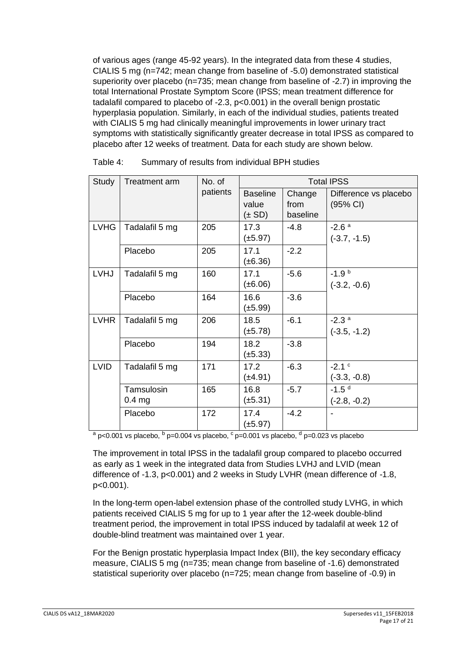of various ages (range 45-92 years). In the integrated data from these 4 studies, CIALIS 5 mg (n=742; mean change from baseline of -5.0) demonstrated statistical superiority over placebo (n=735; mean change from baseline of -2.7) in improving the total International Prostate Symptom Score (IPSS; mean treatment difference for tadalafil compared to placebo of -2.3, p<0.001) in the overall benign prostatic hyperplasia population. Similarly, in each of the individual studies, patients treated with CIALIS 5 mg had clinically meaningful improvements in lower urinary tract symptoms with statistically significantly greater decrease in total IPSS as compared to placebo after 12 weeks of treatment. Data for each study are shown below.

| <b>Study</b> | Treatment arm           | No. of   |                                        |                            | <b>Total IPSS</b>                           |
|--------------|-------------------------|----------|----------------------------------------|----------------------------|---------------------------------------------|
|              |                         | patients | <b>Baseline</b><br>value<br>$(\pm SD)$ | Change<br>from<br>baseline | Difference vs placebo<br>$(95% \text{ Cl})$ |
| <b>LVHG</b>  | Tadalafil 5 mg          | 205      | 17.3<br>$(\pm 5.97)$                   | $-4.8$                     | $-2.6a$<br>$(-3.7, -1.5)$                   |
|              | Placebo                 | 205      | 17.1<br>$(\pm 6.36)$                   | $-2.2$                     |                                             |
| <b>LVHJ</b>  | Tadalafil 5 mg          | 160      | 17.1<br>$(\pm 6.06)$                   | $-5.6$                     | $-1.9b$<br>$(-3.2, -0.6)$                   |
|              | Placebo                 | 164      | 16.6<br>(±5.99)                        | $-3.6$                     |                                             |
| <b>LVHR</b>  | Tadalafil 5 mg          | 206      | 18.5<br>$(\pm 5.78)$                   | $-6.1$                     | $-2.3a$<br>$(-3.5, -1.2)$                   |
|              | Placebo                 | 194      | 18.2<br>$(\pm 5.33)$                   | $-3.8$                     |                                             |
| <b>LVID</b>  | Tadalafil 5 mg          | 171      | 17.2<br>$(\pm 4.91)$                   | $-6.3$                     | $-2.1$ $\degree$<br>$(-3.3, -0.8)$          |
|              | Tamsulosin<br>$0.4$ mg  | 165      | 16.8<br>(±5.31)                        | $-5.7$                     | $-1.5d$<br>$(-2.8, -0.2)$                   |
|              | Placebo<br>$\mathbf{h}$ | 172      | 17.4<br>$(\pm 5.97)$                   | $-4.2$<br>$\overline{a}$   |                                             |

| Table 4: |  | Summary of results from individual BPH studies |
|----------|--|------------------------------------------------|
|          |  |                                                |

 $^{\rm a}$  p<0.001 vs placebo,  $^{\rm b}$  p=0.004 vs placebo,  $^{\rm c}$  p=0.001 vs placebo,  $^{\rm d}$  p=0.023 vs placebo

The improvement in total IPSS in the tadalafil group compared to placebo occurred as early as 1 week in the integrated data from Studies LVHJ and LVID (mean difference of -1.3, p<0.001) and 2 weeks in Study LVHR (mean difference of -1.8, p<0.001).

In the long-term open-label extension phase of the controlled study LVHG, in which patients received CIALIS 5 mg for up to 1 year after the 12-week double-blind treatment period, the improvement in total IPSS induced by tadalafil at week 12 of double-blind treatment was maintained over 1 year.

For the Benign prostatic hyperplasia Impact Index (BII), the key secondary efficacy measure, CIALIS 5 mg (n=735; mean change from baseline of -1.6) demonstrated statistical superiority over placebo (n=725; mean change from baseline of -0.9) in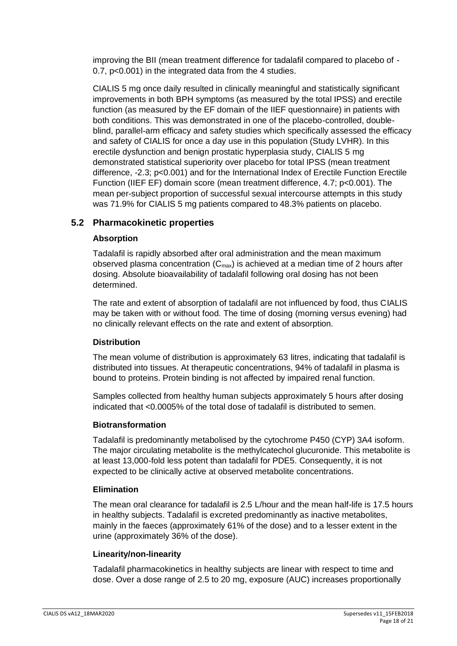improving the BII (mean treatment difference for tadalafil compared to placebo of - 0.7, p<0.001) in the integrated data from the 4 studies.

CIALIS 5 mg once daily resulted in clinically meaningful and statistically significant improvements in both BPH symptoms (as measured by the total IPSS) and erectile function (as measured by the EF domain of the IIEF questionnaire) in patients with both conditions. This was demonstrated in one of the placebo-controlled, doubleblind, parallel-arm efficacy and safety studies which specifically assessed the efficacy and safety of CIALIS for once a day use in this population (Study LVHR). In this erectile dysfunction and benign prostatic hyperplasia study, CIALIS 5 mg demonstrated statistical superiority over placebo for total IPSS (mean treatment difference, -2.3; p<0.001) and for the International Index of Erectile Function Erectile Function (IIEF EF) domain score (mean treatment difference, 4.7; p<0.001). The mean per-subject proportion of successful sexual intercourse attempts in this study was 71.9% for CIALIS 5 mg patients compared to 48.3% patients on placebo.

## **5.2 Pharmacokinetic properties**

## **Absorption**

Tadalafil is rapidly absorbed after oral administration and the mean maximum observed plasma concentration  $(C_{max})$  is achieved at a median time of 2 hours after dosing. Absolute bioavailability of tadalafil following oral dosing has not been determined.

The rate and extent of absorption of tadalafil are not influenced by food, thus CIALIS may be taken with or without food. The time of dosing (morning versus evening) had no clinically relevant effects on the rate and extent of absorption.

#### **Distribution**

The mean volume of distribution is approximately 63 litres, indicating that tadalafil is distributed into tissues. At therapeutic concentrations, 94% of tadalafil in plasma is bound to proteins. Protein binding is not affected by impaired renal function.

Samples collected from healthy human subjects approximately 5 hours after dosing indicated that <0.0005% of the total dose of tadalafil is distributed to semen.

#### **Biotransformation**

Tadalafil is predominantly metabolised by the cytochrome P450 (CYP) 3A4 isoform. The major circulating metabolite is the methylcatechol glucuronide. This metabolite is at least 13,000-fold less potent than tadalafil for PDE5. Consequently, it is not expected to be clinically active at observed metabolite concentrations.

#### **Elimination**

The mean oral clearance for tadalafil is 2.5 L/hour and the mean half-life is 17.5 hours in healthy subjects. Tadalafil is excreted predominantly as inactive metabolites, mainly in the faeces (approximately 61% of the dose) and to a lesser extent in the urine (approximately 36% of the dose).

#### **Linearity/non-linearity**

Tadalafil pharmacokinetics in healthy subjects are linear with respect to time and dose. Over a dose range of 2.5 to 20 mg, exposure (AUC) increases proportionally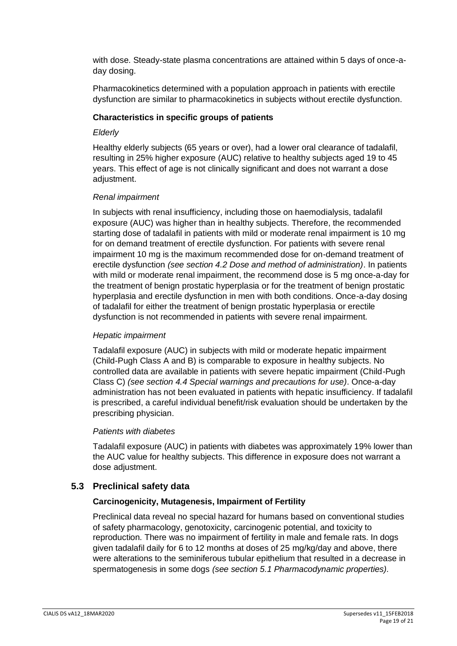with dose. Steady-state plasma concentrations are attained within 5 days of once-aday dosing.

Pharmacokinetics determined with a population approach in patients with erectile dysfunction are similar to pharmacokinetics in subjects without erectile dysfunction.

## **Characteristics in specific groups of patients**

#### *Elderly*

Healthy elderly subjects (65 years or over), had a lower oral clearance of tadalafil, resulting in 25% higher exposure (AUC) relative to healthy subjects aged 19 to 45 years. This effect of age is not clinically significant and does not warrant a dose adjustment.

## *Renal impairment*

In subjects with renal insufficiency, including those on haemodialysis, tadalafil exposure (AUC) was higher than in healthy subjects. Therefore, the recommended starting dose of tadalafil in patients with mild or moderate renal impairment is 10 mg for on demand treatment of erectile dysfunction. For patients with severe renal impairment 10 mg is the maximum recommended dose for on-demand treatment of erectile dysfunction *(see section 4.2 Dose and method of administration)*. In patients with mild or moderate renal impairment, the recommend dose is 5 mg once-a-day for the treatment of benign prostatic hyperplasia or for the treatment of benign prostatic hyperplasia and erectile dysfunction in men with both conditions. Once-a-day dosing of tadalafil for either the treatment of benign prostatic hyperplasia or erectile dysfunction is not recommended in patients with severe renal impairment.

## *Hepatic impairment*

Tadalafil exposure (AUC) in subjects with mild or moderate hepatic impairment (Child-Pugh Class A and B) is comparable to exposure in healthy subjects. No controlled data are available in patients with severe hepatic impairment (Child-Pugh Class C) *(see section 4.4 Special warnings and precautions for use)*. Once-a-day administration has not been evaluated in patients with hepatic insufficiency. If tadalafil is prescribed, a careful individual benefit/risk evaluation should be undertaken by the prescribing physician.

#### *Patients with diabetes*

Tadalafil exposure (AUC) in patients with diabetes was approximately 19% lower than the AUC value for healthy subjects. This difference in exposure does not warrant a dose adjustment.

## **5.3 Preclinical safety data**

## **Carcinogenicity, Mutagenesis, Impairment of Fertility**

Preclinical data reveal no special hazard for humans based on conventional studies of safety pharmacology, genotoxicity, carcinogenic potential, and toxicity to reproduction. There was no impairment of fertility in male and female rats. In dogs given tadalafil daily for 6 to 12 months at doses of 25 mg/kg/day and above, there were alterations to the seminiferous tubular epithelium that resulted in a decrease in spermatogenesis in some dogs *(see section 5.1 Pharmacodynamic properties).*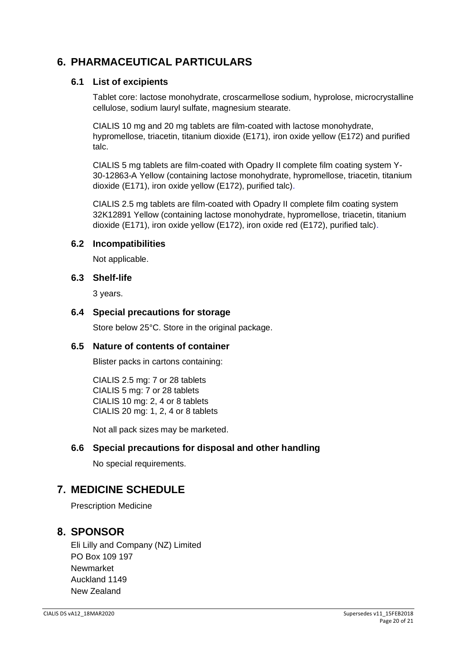# <span id="page-19-0"></span>**6. PHARMACEUTICAL PARTICULARS**

## **6.1 List of excipients**

Tablet core: lactose monohydrate, croscarmellose sodium, hyprolose, microcrystalline cellulose, sodium lauryl sulfate, magnesium stearate.

CIALIS 10 mg and 20 mg tablets are film-coated with lactose monohydrate, hypromellose, triacetin, titanium dioxide (E171), iron oxide yellow (E172) and purified talc.

CIALIS 5 mg tablets are film-coated with Opadry II complete film coating system Y-30-12863-A Yellow (containing lactose monohydrate, hypromellose, triacetin, titanium dioxide (E171), iron oxide yellow (E172), purified talc).

CIALIS 2.5 mg tablets are film-coated with Opadry II complete film coating system 32K12891 Yellow (containing lactose monohydrate, hypromellose, triacetin, titanium dioxide (E171), iron oxide yellow (E172), iron oxide red (E172), purified talc).

## **6.2 Incompatibilities**

Not applicable.

## **6.3 Shelf-life**

3 years.

## **6.4 Special precautions for storage**

Store below 25°C. Store in the original package.

## **6.5 Nature of contents of container**

Blister packs in cartons containing:

CIALIS 2.5 mg: 7 or 28 tablets CIALIS 5 mg: 7 or 28 tablets CIALIS 10 mg: 2, 4 or 8 tablets CIALIS 20 mg: 1, 2, 4 or 8 tablets

Not all pack sizes may be marketed.

## **6.6 Special precautions for disposal and other handling**

No special requirements.

## **7. MEDICINE SCHEDULE**

Prescription Medicine

## **8. SPONSOR**

Eli Lilly and Company (NZ) Limited PO Box 109 197 Newmarket Auckland 1149 New Zealand